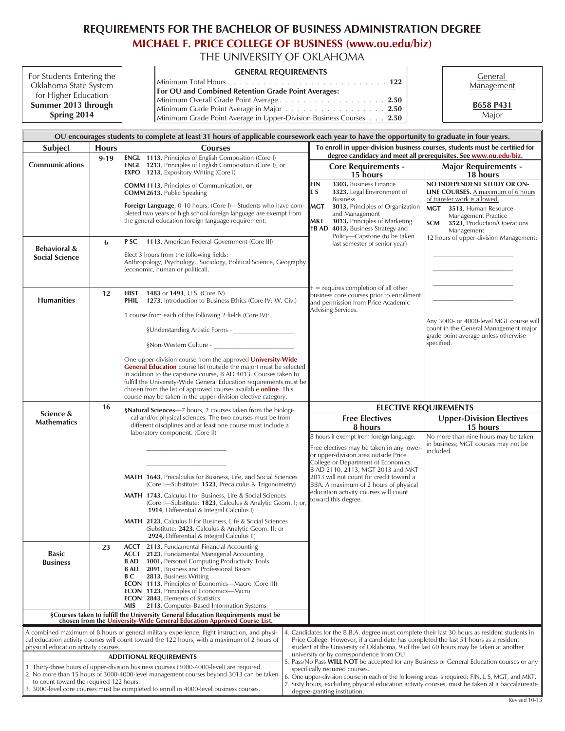## **REQUIREMENTS FOR THE BACHELOR OF BUSINESS ADMINISTRATION DEGREE**

**[MICHAEL F. PRICE COLLEGE OF BUSINESS \(www.ou.edu/biz\)](http://price.ou.edu/ugrad/)**

THE UNIVERSITY OF OKLAHOMA

| For Students Entering the |                 |
|---------------------------|-----------------|
| Oklahoma State System     | $\ $ Min        |
| for Higher Education      | For<br>$\ $ Min |
| Summer 2013 through       | $\ $ Min        |
| Spring 2014               | ll Min          |

 $\mathbb{F}$ **GEN ERAL RE QUIRE MENTS** Gen eral Min i mum To tal Hours ........................... **122** *<u>OU</u>* and Combined Retention Grade Point Averages: nimum Overall Grade Point Average . . . . . . . . . . . . . . . . . . **2.50** himum Grade Point Average in Major . . . . . . . . . . . . . . . . . 2.50 Minimum Grade Point Average in Upper-Division Business Courses . . . 2.50

**Management** 

**B658 P431** Ma jor

| OU encourages students to complete at least 31 hours of applicable coursework each year to have the opportunity to graduate in four years.                                                                                                                                                                               |              |                                                                                                                                                                                                                                                                                                                                                                                                                                                                                                                                                                                                                                                                                                                                                                                                                                                                                                                                                                                                                                                                                                                                 |                                                                                                                                                                                                                                                                       |                                          |                                                                                                                                                                                                                                                                                                                                                               |                                                                                                                                        |
|--------------------------------------------------------------------------------------------------------------------------------------------------------------------------------------------------------------------------------------------------------------------------------------------------------------------------|--------------|---------------------------------------------------------------------------------------------------------------------------------------------------------------------------------------------------------------------------------------------------------------------------------------------------------------------------------------------------------------------------------------------------------------------------------------------------------------------------------------------------------------------------------------------------------------------------------------------------------------------------------------------------------------------------------------------------------------------------------------------------------------------------------------------------------------------------------------------------------------------------------------------------------------------------------------------------------------------------------------------------------------------------------------------------------------------------------------------------------------------------------|-----------------------------------------------------------------------------------------------------------------------------------------------------------------------------------------------------------------------------------------------------------------------|------------------------------------------|---------------------------------------------------------------------------------------------------------------------------------------------------------------------------------------------------------------------------------------------------------------------------------------------------------------------------------------------------------------|----------------------------------------------------------------------------------------------------------------------------------------|
| Subject                                                                                                                                                                                                                                                                                                                  | <b>Hours</b> | <b>Courses</b>                                                                                                                                                                                                                                                                                                                                                                                                                                                                                                                                                                                                                                                                                                                                                                                                                                                                                                                                                                                                                                                                                                                  | To enroll in upper-division business courses, students must be certified for                                                                                                                                                                                          |                                          |                                                                                                                                                                                                                                                                                                                                                               |                                                                                                                                        |
| <b>Communications</b>                                                                                                                                                                                                                                                                                                    | $9 - 19$     | <b>ENGL</b> 1113, Principles of English Composition (Core I)<br>ENGL 1213, Principles of English Composition (Core I), or<br><b>EXPO</b> 1213, Expository Writing (Core I)                                                                                                                                                                                                                                                                                                                                                                                                                                                                                                                                                                                                                                                                                                                                                                                                                                                                                                                                                      |                                                                                                                                                                                                                                                                       |                                          | <b>Core Requirements -</b><br>15 hours                                                                                                                                                                                                                                                                                                                        | degree candidacy and meet all prerequisites. See www.ou.edu/biz.<br><b>Major Requirements -</b><br>18 hours                            |
|                                                                                                                                                                                                                                                                                                                          |              | COMM 1113, Principles of Communication, or<br>COMM 2613, Public Speaking                                                                                                                                                                                                                                                                                                                                                                                                                                                                                                                                                                                                                                                                                                                                                                                                                                                                                                                                                                                                                                                        |                                                                                                                                                                                                                                                                       | <b>FIN</b><br>IL S                       | 3303, Business Finance<br>3323, Legal Environment of<br><b>Business</b>                                                                                                                                                                                                                                                                                       | NO INDEPENDENT STUDY OR ON-<br><b>LINE COURSES.</b> A maximum of 6 hours<br>of transfer work is allowed.                               |
|                                                                                                                                                                                                                                                                                                                          |              | Foreign Language, 0-10 hours, (Core I)-Students who have com-<br>pleted two years of high school foreign language are exempt from<br>the general education foreign language requirement.                                                                                                                                                                                                                                                                                                                                                                                                                                                                                                                                                                                                                                                                                                                                                                                                                                                                                                                                        |                                                                                                                                                                                                                                                                       | MGT<br>MKT                               | 3013, Principles of Organization<br>and Management<br>3013, Principles of Marketing<br><b>+B AD 4013, Business Strategy and</b>                                                                                                                                                                                                                               | MGT 3513, Human Resource<br>Management Practice<br>SCM<br>3523, Production/Operations<br>Management                                    |
| <b>Behavioral &amp;</b><br><b>Social Science</b>                                                                                                                                                                                                                                                                         | 6            | PSC 1113, American Federal Government (Core III)<br>Elect 3 hours from the following fields:<br>Anthropology, Psychology, Sociology, Political Science, Geography<br>(economic, human or political).                                                                                                                                                                                                                                                                                                                                                                                                                                                                                                                                                                                                                                                                                                                                                                                                                                                                                                                            |                                                                                                                                                                                                                                                                       |                                          | Policy-Capstone (to be taken<br>last semester of senior year)                                                                                                                                                                                                                                                                                                 | 12 hours of upper-division Management:                                                                                                 |
| <b>Humanities</b>                                                                                                                                                                                                                                                                                                        | 12           | HIST 1483 or 1493, U.S. (Core IV)<br><b>PHIL</b> 1273, Introduction to Business Ethics (Core IV: W. Civ.)                                                                                                                                                                                                                                                                                                                                                                                                                                                                                                                                                                                                                                                                                                                                                                                                                                                                                                                                                                                                                       |                                                                                                                                                                                                                                                                       |                                          | $\uparrow$ = requires completion of all other<br>business core courses prior to enrollment<br>and permission from Price Academic<br>Advising Services.                                                                                                                                                                                                        |                                                                                                                                        |
|                                                                                                                                                                                                                                                                                                                          |              | 1 course from each of the following 2 fields (Core IV):                                                                                                                                                                                                                                                                                                                                                                                                                                                                                                                                                                                                                                                                                                                                                                                                                                                                                                                                                                                                                                                                         |                                                                                                                                                                                                                                                                       |                                          |                                                                                                                                                                                                                                                                                                                                                               | Any 3000- or 4000-level MGT course will<br>count in the General Management major<br>grade point average unless otherwise<br>specified. |
|                                                                                                                                                                                                                                                                                                                          |              | One upper-division course from the approved University-Wide<br>General Education course list (outside the major) must be selected<br>in addition to the capstone course, B AD 4013. Courses taken to<br>fulfill the University-Wide General Education requirements must be<br>chosen from the list of approved courses available <b>online</b> . This<br>course may be taken in the upper-division elective category.                                                                                                                                                                                                                                                                                                                                                                                                                                                                                                                                                                                                                                                                                                           |                                                                                                                                                                                                                                                                       |                                          |                                                                                                                                                                                                                                                                                                                                                               |                                                                                                                                        |
|                                                                                                                                                                                                                                                                                                                          | 16           | <b>§Natural Sciences</b> —7 hours, 2 courses taken from the biologi-                                                                                                                                                                                                                                                                                                                                                                                                                                                                                                                                                                                                                                                                                                                                                                                                                                                                                                                                                                                                                                                            |                                                                                                                                                                                                                                                                       | <b>ELECTIVE REQUIREMENTS</b>             |                                                                                                                                                                                                                                                                                                                                                               |                                                                                                                                        |
| Science &<br><b>Mathematics</b>                                                                                                                                                                                                                                                                                          |              | cal and/or physical sciences. The two courses must be from<br>different disciplines and at least one course must include a<br>laboratory component. (Core II)                                                                                                                                                                                                                                                                                                                                                                                                                                                                                                                                                                                                                                                                                                                                                                                                                                                                                                                                                                   |                                                                                                                                                                                                                                                                       |                                          | <b>Free Electives</b><br>8 hours                                                                                                                                                                                                                                                                                                                              | <b>Upper-Division Electives</b><br>15 hours                                                                                            |
| <b>Basic</b><br><b>Business</b>                                                                                                                                                                                                                                                                                          | 23           | <b>MATH 1643</b> , Precalculus for Business, Life, and Social Sciences<br>(Core I-Substitute: 1523, Precalculus & Trigonometry)<br><b>MATH 1743</b> , Calculus I for Business, Life & Social Sciences<br>(Core I-Substitute: 1823, Calculus & Analytic Geom. I; or,<br>1914, Differential & Integral Calculus I)<br><b>MATH 2123</b> , Calculus II for Business, Life & Social Sciences<br>(Substitute: 2423, Calculus & Analytic Geom. II; or<br>2924, Differential & Integral Calculus II)<br><b>ACCT</b> 2113, Fundamental Financial Accounting<br><b>ACCT</b> 2123, Fundamental Managerial Accounting<br>1001, Personal Computing Productivity Tools<br>B AD<br>2091, Business and Professional Basics<br>B AD<br>ВC<br>2813, Business Writing<br><b>ECON 1113</b> , Principles of Economics-Macro (Core III)<br><b>ECON</b> 1123, Principles of Economics-Micro<br><b>ECON 2843</b> , Elements of Statistics<br>2113, Computer-Based Information Systems<br>MIS<br>§Courses taken to fulfill the University General Education Requirements must be chosen from the University-Wide General Education Approved Course List. |                                                                                                                                                                                                                                                                       |                                          | 8 hours if exempt from foreign language.<br>Free electives may be taken in any lower-<br>or upper-division area outside Price<br>College or Department of Economics.<br>B AD 2110, 2113, MGT 2013 and MKT<br>2013 will not count for credit toward a<br>BBA. A maximum of 2 hours of physical<br>education activity courses will count<br>toward this degree. | No more than nine hours may be taken<br>in business; MGT courses may not be<br>included.                                               |
| A combined maximum of 8 hours of general military experience, flight instruction, and physi-                                                                                                                                                                                                                             |              |                                                                                                                                                                                                                                                                                                                                                                                                                                                                                                                                                                                                                                                                                                                                                                                                                                                                                                                                                                                                                                                                                                                                 |                                                                                                                                                                                                                                                                       |                                          | 4. Candidates for the B.B.A. degree must complete their last 30 hours as resident students in                                                                                                                                                                                                                                                                 |                                                                                                                                        |
| cal education activity courses will count toward the 122 hours, with a maximum of 2 hours of<br>physical education activity courses.                                                                                                                                                                                     |              |                                                                                                                                                                                                                                                                                                                                                                                                                                                                                                                                                                                                                                                                                                                                                                                                                                                                                                                                                                                                                                                                                                                                 |                                                                                                                                                                                                                                                                       |                                          | Price College. However, if a candidate has completed the last 51 hours as a resident<br>student at the University of Oklahoma, 9 of the last 60 hours may be taken at another                                                                                                                                                                                 |                                                                                                                                        |
| <b>ADDITIONAL REQUIREMENTS</b>                                                                                                                                                                                                                                                                                           |              |                                                                                                                                                                                                                                                                                                                                                                                                                                                                                                                                                                                                                                                                                                                                                                                                                                                                                                                                                                                                                                                                                                                                 |                                                                                                                                                                                                                                                                       | university or by correspondence from OU. | 5. Pass/No Pass WILL NOT be accepted for any Business or General Education courses or any                                                                                                                                                                                                                                                                     |                                                                                                                                        |
| 1. Thirty-three hours of upper-division business courses (3000-4000-level) are required.<br>2. No more than 15 hours of 3000-4000-level management courses beyond 3013 can be taken<br>to count toward the required 122 hours.<br>3. 3000-level core courses must be completed to enroll in 4000-level business courses. |              |                                                                                                                                                                                                                                                                                                                                                                                                                                                                                                                                                                                                                                                                                                                                                                                                                                                                                                                                                                                                                                                                                                                                 | specifically required courses.<br>6. One upper-division course in each of the following areas is required: FIN, L S, MGT, and MKT.<br>7. Sixty hours, excluding physical education activity courses, must be taken at a baccalaureate<br>degree-granting institution. |                                          |                                                                                                                                                                                                                                                                                                                                                               |                                                                                                                                        |